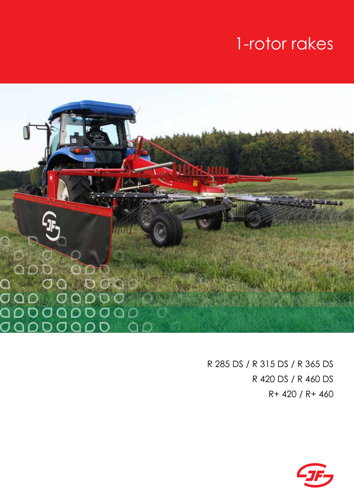# 1-rotor rakes



R 285 DS / R 315 DS / R 365 DS R 420 DS / R 460 DS R+ 420 / R+ 460

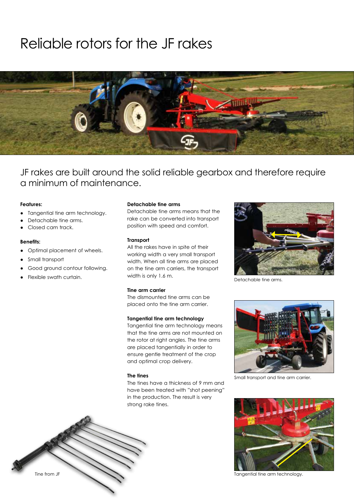### Reliable rotors for the JF rakes



JF rakes are built around the solid reliable gearbox and therefore require a minimum of maintenance.

#### **Features:**

- Tangential tine arm technology.
- Detachable tine arms.
- Closed cam track.

#### **Benefits:**

- Optimal placement of wheels.
- Small transport
- Good ground contour following.
- Flexible swath curtain.

#### **Detachable tine arms**

Detachable tine arms means that the rake can be converted into transport position with speed and comfort.

#### **Transport**

All the rakes have in spite of their working width a very small transport width. When all tine arms are placed on the tine arm carriers, the transport width is only 1.6 m.

#### **Tine arm carrier**

The dismounted tine arms can be placed onto the tine arm carrier.

#### **Tangential tine arm technology**

Tangential tine arm technology means that the tine arms are not mounted on the rotor at right angles. The tine arms are placed tangentially in order to ensure gentle treatment of the crop and optimal crop delivery.

#### **The tines**

The tines have a thickness of 9 mm and have been treated with "shot peening" in the production. The result is very strong rake tines.



Detachable tine arms.



Small transport and tine arm carrier.





Tangential tine arm technology.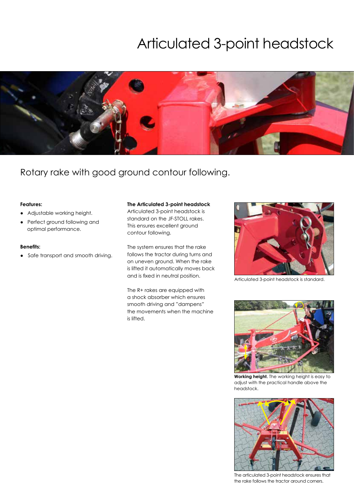### Articulated 3-point headstock



### Rotary rake with good ground contour following.

#### **Features:**

- Adjustable working height.
- Perfect ground following and optimal performance.

#### **Benefits:**

• Safe transport and smooth driving.

#### **The Articulated 3-point headstock**

Articulated 3-point headstock is standard on the JF-STOLL rakes. This ensures excellent ground contour following.

The system ensures that the rake follows the tractor during turns and on uneven ground. When the rake is lifted it automatically moves back and is fixed in neutral position.

The R+ rakes are equipped with a shock absorber which ensures smooth driving and "dampens" the movements when the machine is lifted.



Articulated 3-point headstock is standard.



**Working height.** The working height is easy to adjust with the practical handle above the headstock.



The articulated 3-point headstock ensures that the rake follows the tractor around corners.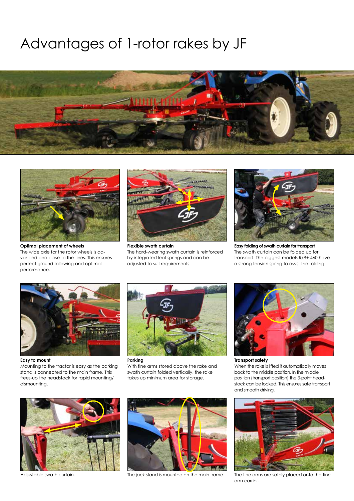### Advantages of 1-rotor rakes by JF





**Optimal placement of wheels** The wide axle for the rotor wheels is advanced and close to the tines. This ensures perfect ground following and optimal performance.



The hard-wearing swath curtain is reinforced by integrated leaf springs and can be adjusted to suit requirements.



**Easy folding of swath curtain for transport** The swath curtain can be folded up for transport. The biggest models R/R+ 460 have a strong tension spring to assist the folding.



**Easy to mount** Mounting to the tractor is easy as the parking stand is connected to the main frame. This frees-up the headstock for rapid mounting/ dismounting.



**Parking**  With tine arms stored above the rake and swath curtain folded vertically, the rake takes up minimum area for storage.



**Transport safety**  When the rake is lifted it automatically moves back to the middle position. In the middle position (transport position) the 3-point headstock can be locked. This ensures safe transport and smooth driving.



Adjustable swath curtain.



The jack stand is mounted on the main frame.



The tine arms are safely placed onto the tine arm carrier.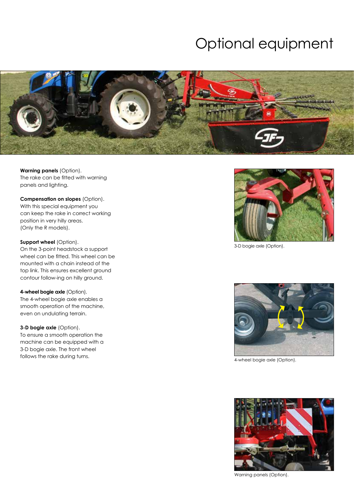## Optional equipment



**Warning panels** (Option). The rake can be fitted with warning panels and lighting.

**Compensation on slopes** (Option). With this special equipment you can keep the rake in correct working position in very hilly areas. (Only the R models).

**Support wheel (Option).** 

On the 3-point headstock a support wheel can be fitted. This wheel can be mounted with a chain instead of the top link. This ensures excellent ground contour follow-ing on hilly ground.

**4-wheel bogie axle (Option).** The 4-wheel bogie axle enables a smooth operation of the machine, even on undulating terrain.

**3-D bogie axle** (Option). To ensure a smooth operation the machine can be equipped with a 3-D bogie axle. The front wheel follows the rake during turns.



3-D bogie axle (Option).



4-wheel bogie axle (Option).



Warning panels (Option).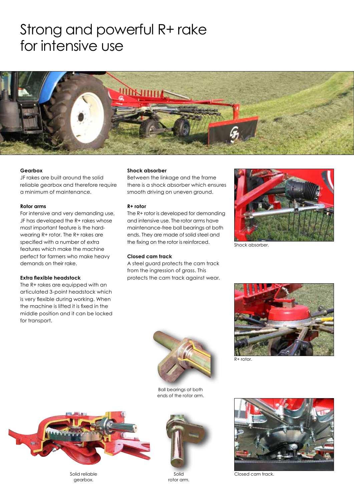### Strong and powerful R+ rake for intensive use



#### **Gearbox**

JF rakes are built around the solid reliable gearbox and therefore require a minimum of maintenance.

#### **Rotor arms**

For intensive and very demanding use, JF has developed the R+ rakes whose most important feature is the hardwearing R+ rotor. The R+ rakes are specified with a number of extra features which make the machine perfect for farmers who make heavy demands on their rake.

#### **Extra flexible headstock**

The R+ rakes are equipped with an articulated 3-point headstock which is very flexible during working. When the machine is lifted it is fixed in the middle position and it can be locked for transport.

#### **Shock absorber**

Between the linkage and the frame there is a shock absorber which ensures smooth driving on uneven ground.

#### **R+ rotor**

The R+ rotor is developed for demanding and intensive use. The rotor arms have maintenance-free ball bearings at both ends. They are made of solid steel and the fixing on the rotor is reinforced.

#### **Closed cam track**

A steel guard protects the cam track from the ingression of grass. This protects the cam track against wear.



Shock absorber.



Ball bearings at both ends of the rotor arm.



Solid reliable gearbox.



rotor arm.





Closed cam track.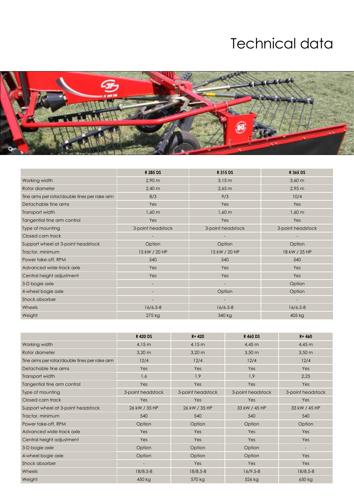## Technical data



|                                               | R 285 DS           | R 315 DS           | R 365 DS          |
|-----------------------------------------------|--------------------|--------------------|-------------------|
| Working width                                 | $2,90 \text{ m}$   | 3,15m              | $3,60 \text{ m}$  |
| Rotor diameter                                | $2,40 \, \text{m}$ | $2,65 \, \text{m}$ | 2,95 m            |
| Tine arms per rotor/double tines per rake arm | 8/3                | 9/3                | 10/4              |
| Detachable tine arms                          | Yes                | Yes                | Yes               |
| Transport width                               | $1,60 \, m$        | $1,60 \, m$        | $1,60 \, m$       |
| Tangential tine arm control                   | Yes                | Yes                | Yes               |
| Type of mounting                              | 3-point headstock  | 3-point headstock  | 3-point headstock |
| Closed cam track                              |                    |                    |                   |
| Support wheel at 3-point headstock            | Option             | Option             | Option            |
| Tractor, minimum                              | 15 kW / 20 HP      | 15 kW / 20 HP      | 18 kW / 25 HP     |
| Power take-off, RPM                           | 540                | 540                | 540               |
| Advanced wide-track axle                      | Yes                | Yes                | Yes               |
| Central height adjustment                     | Yes                | Yes                | Yes               |
| 3-D bogie axle                                |                    |                    | Option            |
| 4-wheel bogie axle                            |                    | Option             | Option            |
| Shock absorber                                |                    |                    | $\qquad \qquad -$ |
| <b>Wheels</b>                                 | $16/6.5 - 8$       | $16/6.5 - 8$       | $16/6.5 - 8$      |
| Weight                                        | 275 kg             | 340 kg             | 405 kg            |

|                                               | <b>R420DS</b>            | $R + 420$         | <b>R460DS</b>     | $R + 460$         |
|-----------------------------------------------|--------------------------|-------------------|-------------------|-------------------|
| Working width                                 | 4.15 m                   | 4.15 m            | $4,45 \; m$       | $4,45 \; m$       |
| Rotor diameter                                | $3,20 \text{ m}$         | $3,20 \text{ m}$  | $3,50 \text{ m}$  | $3,50 \text{ m}$  |
| Tine arms per rotor/double tines per rake arm | 12/4                     | 12/4              | 12/4              | 12/4              |
| Detachable tine arms                          | Yes                      | Yes               | Yes               | Yes               |
| Transport width                               | 1,6                      | 1,9               | 1,9               | 2,25              |
| Tangential tine arm control                   | Yes                      | Yes               | Yes               | Yes               |
| Type of mounting                              | 3-point headstock        | 3-point headstock | 3-point headstock | 3-point headstock |
| Closed cam track                              | Yes                      | Yes               | Yes               | Yes               |
| Support wheel at 3-point headstock            | 26 kW / 35 HP            | 26 kW / 35 HP     | 33 kW / 45 HP     | 33 kW / 45 HP     |
| Tractor, minimum                              | 540                      | 540               | 540               | 540               |
| Power take-off, RPM                           | Option                   | Option            | Option            | Option            |
| Advanced wide-track axle                      | Yes                      | Yes               | Yes               | Yes               |
| Central height adjustment                     | Yes                      | Yes               | Yes               | Yes               |
| 3-D bogie axle                                | Option                   | Option            | Option            | ٠                 |
| 4-wheel bogie axle                            | Option                   | Option            | Option            | Yes               |
| Shock absorber                                | $\overline{\phantom{a}}$ | Yes               | Yes               | Yes               |
| Wheels                                        | $18/8.5 - 8$             | $18/8.5 - 8$      | $16/9.5 - 8$      | 18/8.5-8          |
| Weight                                        | 450 kg                   | 570 kg            | 526 kg            | 650 kg            |